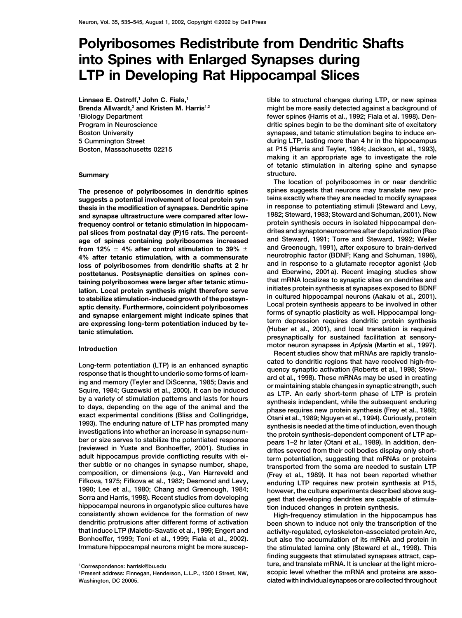## **Polyribosomes Redistribute from Dendritic Shafts into Spines with Enlarged Synapses during LTP in Developing Rat Hippocampal Slices**

Linnaea E. Ostroff,<sup>1</sup> John C. Fiala,<sup>1</sup> Brenda Allwardt,<sup>3</sup> and Kristen M. Harris<sup>1,2</sup> **1 Biology Department Program in Neuroscience Boston University**

**Fifkova, 1975; Fifkova et al., 1982; Desmond and Levy, enduring LTP requires new protein synthesis at P15, 1990; Lee et al., 1980; Chang and Greenough, 1984; however, the culture experiments described above sughippocampal neurons in organotypic slice cultures have tion induced changes in protein synthesis. consistently shown evidence for the formation of new High-frequency stimulation in the hippocampus has that induce LTP (Maletic-Savatic et al., 1999; Engert and activity-regulated, cytoskeleton-associated protein Arc, Bonhoeffer, 1999; Toni et al., 1999; Fiala et al., 2002). but also the accumulation of its mRNA and protein in**

**tible to structural changes during LTP, or new spines might be more easily detected against a background of fewer spines (Harris et al., 1992; Fiala et al. 1998). Dendritic spines begin to be the dominant site of excitatory synapses, and tetanic stimulation begins to induce en-5 Cummington Street during LTP, lasting more than 4 hr in the hippocampus Boston, Massachusetts 02215 at P15 (Harris and Teyler, 1984; Jackson, et al., 1993), making it an appropriate age to investigate the role of tetanic stimulation in altering spine and synapse Summary structure.**

**The location of polyribosomes in or near dendritic The presence of polyribosomes in dendritic spines spines suggests that neurons may translate new prosuggests a potential involvement of local protein syn- teins exactly where they are needed to modify synapses in response to potentiating stimuli (Steward and Levy, thesis in the modification of synapses. Dendritic spine and synapse ultrastructure were compared after low- 1982; Steward, 1983; Steward and Schuman, 2001). New frequency control or tetanic stimulation in hippocam-** protein synthesis occurs in isolated hippocampal den-<br>Inal slices from postnatal day (P)15 rats. The percent- drites and synaptoneurosomes after depolarization (Rao **pal slices from postnatal day (P)15 rats. The percent- drites and synaptoneurosomes after depolarization (Rao age of spines containing polyribosomes increased and Steward, 1991; Torre and Steward, 1992; Weiler from 12% 4% after control stimulation to 39% and Greenough, 1991), after exposure to brain-derived neurotrophic factor (BDNF; Kang and Schuman, 1996), 4% after tetanic stimulation, with a commensurate loss of polyribosomes from dendritic shafts at 2 hr and in response to a glutamate receptor agonist (Job**<br>**posttatanus Postsvnantic densities on spines con-** and Eberwine, 2001a). Recent imaging studies show **posttetanus. Postsynaptic densities on spines con- and Eberwine, 2001a). Recent imaging studies show** taining polyribosomes were larger after tetanic stimu-<br>lation. Local protein synthesis might therefore serve<br>to stabilize stimulation-induced growth of the postsyn-<br>aptic density. Furthermore, coincident polyribosomes<br>and **presynaptically for sustained facilitation at sensory**motor neuron synapses in *Aplysia* (Martin et al., 1997).<br>-Recent studies show that mRNAs are rapidly translo

Long-term potentiation (LTP) is an enhanced synaptic cated to dendritic regions that have received high-fre-<br>response that is thought to underlie some forms of learn-<br>and area et al., 1998). These mRNAs may be used in crea gest that developing dendrites are capable of stimula-

been shown to induce not only the transcription of the **Immature hippocampal neurons might be more suscep- the stimulated lamina only (Steward et al., 1998). This finding suggests that stimulated synapses attract, cap-<sup>2</sup> ture, and translate mRNA. It is unclear at the light micro- Correspondence: harrisk@bu.edu Washington, DC 20005. ciated with individual synapses or are collected throughout**

<sup>&</sup>lt;sup>3</sup> Present address: Finnegan, Henderson, L.L.P., 1300 I Street, NW,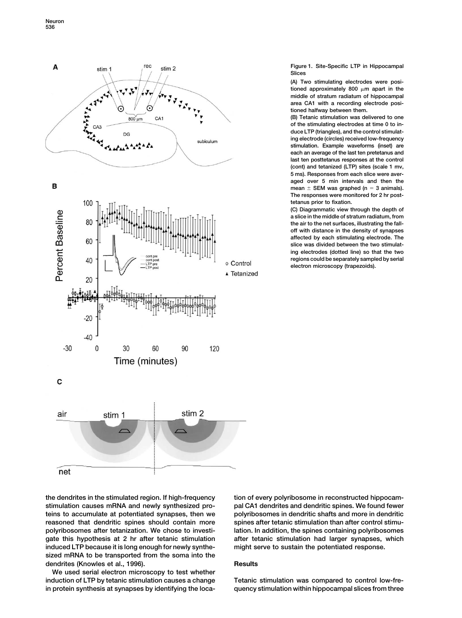

B



**Figure 1. Site-Specific LTP in Hippocampal Slices**

**(A) Two stimulating electrodes were posi**tioned approximately 800  $\mu$ m apart in the **middle of stratum radiatum of hippocampal area CA1 with a recording electrode positioned halfway between them.**

**(B) Tetanic stimulation was delivered to one of the stimulating electrodes at time 0 to induce LTP (triangles), and the control stimulating electrode (circles) received low-frequency stimulation. Example waveforms (inset) are each an average of the last ten pretetanus and last ten posttetanus responses at the control (cont) and tetanized (LTP) sites (scale 1 mv, 5 ms). Responses from each slice were averaged over 5 min intervals and then the** mean  $\pm$  SEM was graphed ( $n = 3$  animals). **The responses were monitored for 2 hr posttetanus prior to fixation.**

**(C) Diagrammatic view through the depth of a slice in the middle of stratum radiatum, from the air to the net surfaces, illustrating the falloff with distance in the density of synapses affected by each stimulating electrode. The slice was divided between the two stimulating electrodes (dotted line) so that the two regions could be separately sampled by serial electron microscopy (trapezoids).**

**stimulation causes mRNA and newly synthesized pro- pal CA1 dendrites and dendritic spines. We found fewer teins to accumulate at potentiated synapses, then we polyribosomes in dendritic shafts and more in dendritic reasoned that dendritic spines should contain more spines after tetanic stimulation than after control stimupolyribosomes after tetanization. We chose to investi- lation. In addition, the spines containing polyribosomes gate this hypothesis at 2 hr after tetanic stimulation after tetanic stimulation had larger synapses, which induced LTP because it is long enough for newly synthe- might serve to sustain the potentiated response. sized mRNA to be transported from the soma into the** dendrites (Knowles et al., 1996). **Results** 

**We used serial electron microscopy to test whether induction of LTP by tetanic stimulation causes a change Tetanic stimulation was compared to control low-fre-**

**the dendrites in the stimulated region. If high-frequency tion of every polyribosome in reconstructed hippocam-**

**in protein synthesis at synapses by identifying the loca- quency stimulation within hippocampal slices from three**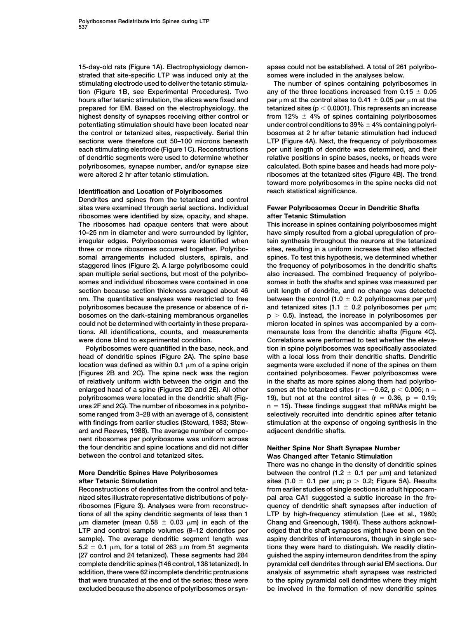**strated that site-specific LTP was induced only at the somes were included in the analyses below. stimulating electrode used to deliver the tetanic stimula- The number of spines containing polyribosomes in tion (Figure 1B, see Experimental Procedures). Two any of the three locations increased from 0.15 0.05** hours after tetanic stimulation, the slices were fixed and **prepared for EM. Based on the electrophysiology, the tetanized sites (p 0.0001). This represents an increase highest density of synapses receiving either control or from 12% 4% of spines containing polyribosomes potentiating stimulation should have been located near under control conditions to 39% 4% containing polyrithe control or tetanized sites, respectively. Serial thin bosomes at 2 hr after tetanic stimulation had induced sections were therefore cut 50–100 microns beneath LTP (Figure 4A). Next, the frequency of polyribosomes each stimulating electrode (Figure 1C). Reconstructions per unit length of dendrite was determined, and their of dendritic segments were used to determine whether relative positions in spine bases, necks, or heads were polyribosomes, synapse number, and/or synapse size calculated. Both spine bases and heads had more poly-**

## **Identification and Location of Polyribosomes reach statistical significance.**

**Dendrites and spines from the tetanized and control sites were examined through serial sections. Individual Fewer Polyribosomes Occur in Dendritic Shafts ribosomes were identified by size, opacity, and shape. after Tetanic Stimulation The ribosomes had opaque centers that were about This increase in spines containing polyribosomes might 10–25 nm in diameter and were surrounded by lighter, have simply resulted from a global upregulation of proirregular edges. Polyribosomes were identified when tein synthesis throughout the neurons at the tetanized three or more ribosomes occurred together. Polyribo- sites, resulting in a uniform increase that also affected somal arrangements included clusters, spirals, and spines. To test this hypothesis, we determined whether staggered lines (Figure 2). A large polyribosome could the frequency of polyribosomes in the dendritic shafts** span multiple serial sections, but most of the polyribo- also increased. The combined frequency of polyribo**somes and individual ribosomes were contained in one somes in both the shafts and spines was measured per** section because section thickness averaged about 46 unit length of dendrite, and no change was detected  $n$ m. The quantitative analyses were restricted to free polyribosomes because the presence or absence of ri**bosomes on the dark-staining membranous organelles p 0.5). Instead, the increase in polyribosomes per could not be determined with certainty in these prepara- micron located in spines was accompanied by a comtions. All identifications, counts, and measurements mensurate loss from the dendritic shafts (Figure 4C).** were done blind to experimental condition. **Correlations were performed to test whether the eleva-**

**head of dendritic spines (Figure 2A). The spine base with a local loss from their dendritic shafts. Dendritic** location was defined as within 0.1  $\mu$ m of a spine origin **(Figures 2B and 2C). The spine neck was the region contained polyribosomes. Fewer polyribosomes were of relatively uniform width between the origin and the in the shafts as more spines along them had polyribo**enlarged head of a spine (Figures 2D and 2E). All other somes at the tetanized sites ( $r = -0.62$ ,  $p < 0.005$ ; n = **polyribosomes were located in the dendritic shaft (Fig- 19), but not at the control sites (r 0.36, p 0.19; ures 2F and 2G). The number of ribosomes in a polyribo- n 15). These findings suggest that mRNAs might be some ranged from 3–28 with an average of 8, consistent selectively recruited into dendritic spines after tetanic with findings from earlier studies (Steward, 1983; Stew- stimulation at the expense of ongoing synthesis in the ard and Reeves, 1988). The average number of compo- adjacent dendritic shafts. nent ribosomes per polyribosome was uniform across the four dendritic and spine locations and did not differ Neither Spine Nor Shaft Synapse Number**

## **More Dendritic Spines Have Polyribosomes after Tetanic Stimulation sites (1.0 0.1 per** -

**Reconstructions of dendrites from the control and teta- from earlier studies of single sections in adult hippocamnized sites illustrate representative distributions of poly- pal area CA1 suggested a subtle increase in the freribosomes (Figure 3). Analyses were from reconstruc- quency of dendritic shaft synapses after induction of tions of all the spiny dendritic segments of less than 1 LTP by high-frequency stimulation (Lee et al., 1980;**  $\mu$ **m diameter (mean 0.58**  $\pm$  **0.03**  $\mu$ **LTP and control sample volumes (8–12 dendrites per edged that the shaft synapses might have been on the sample). The average dendritic segment length was aspiny dendrites of interneurons, though in single sec-** $\texttt{5.2}\pm\texttt{0.1}\ \mu\texttt{m},$  for a total of 263  $\mu$ **(27 control and 24 tetanized). These segments had 284 guished the aspiny interneuron dendrites from the spiny complete dendritic spines (146 control, 138 tetanized). In pyramidal cell dendrites through serial EM sections. Our addition, there were 62 incomplete dendritic protrusions analysis of asymmetric shaft synapses was restricted that were truncated at the end of the series; these were to the spiny pyramidal cell dendrites where they might excluded because the absence of polyribosomes or syn- be involved in the formation of new dendritic spines**

**15-day-old rats (Figure 1A). Electrophysiology demon- apses could not be established. A total of 261 polyribo-**

**m** at the control sites to 0.41  $\pm$  0.05 per  $\mu$ m at the **were altered 2 hr after tetanic stimulation. ribosomes at the tetanized sites (Figure 4B). The trend toward more polyribosomes in the spine necks did not**

between the control (1.0  $\pm$  0.2 polyribosomes per  $\mu$ m) and tetanized sites (1.1  $\pm$  0.2 polyribosomes per  $\mu$ m; **Polyribosomes were quantified in the base, neck, and tion in spine polyribosomes was specifically associated** segments were excluded if none of the spines on them

# **Was Changed after Tetanic Stimulation**

**There was no change in the density of dendritic spines** between the control  $(1.2 \pm 0.1 \text{ per } \mu\text{m})$  and tetanized sites  $(1.0 \pm 0.1$  per  $\mu$ m;  $p > 0.2$ ; Figure 5A). Results **m) in each of the Chang and Greenough, 1984). These authors acknowlm from 51 segments tions they were hard to distinguish. We readily distin-**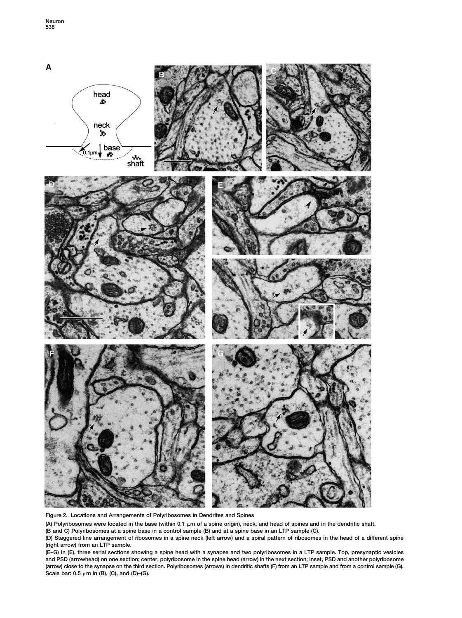

**Figure 2. Locations and Arrangements of Polyribosomes in Dendrites and Spines**

(A) Polyribosomes were located in the base (within 0.1  $\mu$ m of a spine origin), neck, and head of spines and in the dendritic shaft.

**(B and C) Polyribosomes at a spine base in a control sample (B) and at a spine base in an LTP sample (C).**

**(D) Staggered line arrangement of ribosomes in a spine neck (left arrow) and a spiral pattern of ribosomes in the head of a different spine (right arrow) from an LTP sample.**

**(E–G) In (E), three serial sections showing a spine head with a synapse and two polyribosomes in a LTP sample. Top, presynaptic vesicles and PSD (arrowhead) on one section; center, polyribosome in the spine head (arrow) in the next section; inset, PSD and another polyribosome (arrow) close to the synapse on the third section. Polyribosomes (arrows) in dendritic shafts (F) from an LTP sample and from a control sample (G).** Scale bar: 0.5  $\mu$ m in (B), (C), and (D)–(G).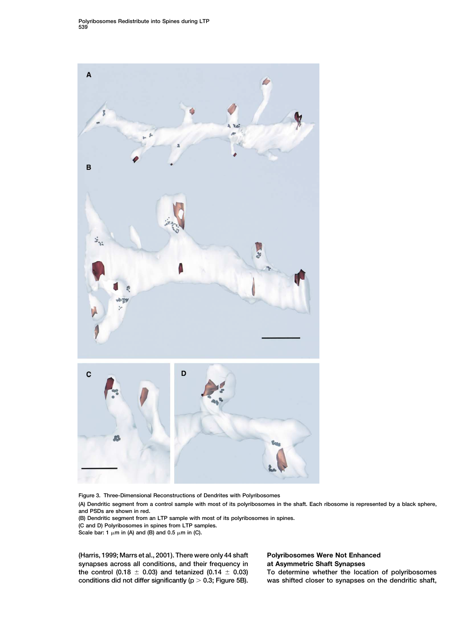

**Figure 3. Three-Dimensional Reconstructions of Dendrites with Polyribosomes**

**(A) Dendritic segment from a control sample with most of its polyribosomes in the shaft. Each ribosome is represented by a black sphere, and PSDs are shown in red.**

**(B) Dendritic segment from an LTP sample with most of its polyribosomes in spines.**

**(C and D) Polyribosomes in spines from LTP samples.**

Scale bar: 1  $\mu$ m in (A) and (B) and 0.5  $\mu$ m in (C).

**(Harris, 1999; Marrs et al., 2001). There were only 44 shaft Polyribosomes Were Not Enhanced synapses across all conditions, and their frequency in at Asymmetric Shaft Synapses the control (0.18 0.03) and tetanized (0.14 0.03) To determine whether the location of polyribosomes conditions did not differ significantly (p 0.3; Figure 5B). was shifted closer to synapses on the dendritic shaft,**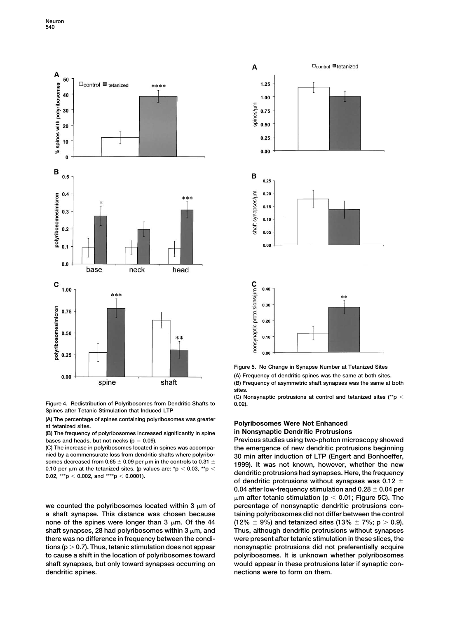

**Figure 4. Redistribution of Polyribosomes from Dendritic Shafts to 0.02). Spines after Tetanic Stimulation that Induced LTP**

(A) The percentage of spines containing polyribosomes was greater<br>
at tetanized sites.<br> **(B)** The frequency of polyribosomes increased significantly in spine<br> **in Nonsynaptic Dendritic Protrusions** 

**(B) The frequency of polyribosomes increased significantly in spine in Nonsynaptic Dendritic Protrusions**

**nied by a commensurate loss from dendritic shafts where polyribo-**<br>**30 min after induction of LTP (Engert and Bonhoeffer, somes decreased from the polyrism** and **community** and **property** 

we counted the polyribosomes located within 3  $\mu$ m of **a shaft synapse. This distance was chosen because taining polyribosomes did not differ between the control** none of the spines were longer than  $3 \mu m$ . Of the 44 shaft synapses, 28 had polyribosomes within 3  $\mu$ m, and **there was no difference in frequency between the condi- were present after tetanic stimulation in these slices, the tions (p 0.7). Thus, tetanic stimulation does not appear nonsynaptic protrusions did not preferentially acquire to cause a shift in the location of polyribosomes toward polyribosomes. It is unknown whether polyribosomes shaft synapses, but only toward synapses occurring on would appear in these protrusions later if synaptic condendritic spines. nections were to form on them.**



**Figure 5. No Change in Synapse Number at Tetanized Sites (A) Frequency of dendritic spines was the same at both sites. (B) Frequency of asymmetric shaft synapses was the same at both sites.**

**(C) Nonsynaptic protrusions at control and tetanized sites (\*\*p**

**bases and heads, but not necks (p 0.09). Previous studies using two-photon microscopy showed (C) The increase in polyribosomes located in spines was accompa- the emergence of new dendritic protrusions beginning m** in the controls to 0.31  $\pm$  1999). It was not known, however, whether the new 0.10 per  $\mu$ m at the tetanized sites. (p values are: \*p < 0.03, \*\*p < dendritic protrusions had synapses. Here, the frequency dendritic p **dendritic protrusions had synapses. Here, the frequency of dendritic protrusions without synapses was 0.12 0.04 after low-frequency stimulation and 0.28 0.04 per**  $\mu$ m after tetanic stimulation (p  $<$  0.01; Figure 5C). The **m of percentage of nonsynaptic dendritic protrusions con-** $(12\% \pm 9\%)$  and tetanized sites  $(13\% \pm 7\%)$ ; p > 0.9). **m, and Thus, although dendritic protrusions without synapses**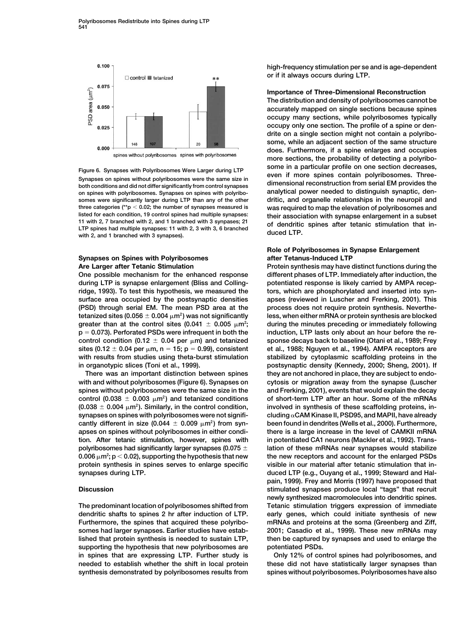

**on spines with polyribosomes. Synapses on spines with polyribo- analytical power needed to distinguish synaptic, densomes were significantly larger during LTP than any of the other dritic, and organelle relationships in the neuropil and three categories (\*\*p 0.02; the number of synapses measured is was required to map the elevation of polyribosomes and** listed for each condition, 19 control spines had multiple synapses:<br>11 with 2, 7 branched with 2, and 1 branched with 3 synpases; 21 of dendritic spines after tetanic stimulation that in-<br>LTP spines had multiple synapses:

## **Synapses on Spines with Polyribosomes after Tetanus-Induced LTP Are Larger after Tetanic Stimulation Protein synthesis may have distinct functions during the**

**during LTP is synapse enlargement (Bliss and Colling- potentiated response is likely carried by AMPA recepridge, 1993). To test this hypothesis, we measured the tors, which are phosphorylated and inserted into synsurface area occupied by the postsynaptic densities apses (reviewed in Luscher and Frerking, 2001). This (PSD) through serial EM. The mean PSD area at the process does not require protein synthesis. Neverthe**tetanized sites (0.056  $\pm$  0.004  $\mu$ m<sup>2</sup>) was not significantly greater than at the control sites (0.041  $\pm$  0.005  $\mu$ m²; **p 0.073). Perforated PSDs were infrequent in both the induction, LTP lasts only about an hour before the re**control condition (0.12  $\pm$  0.04 per  $\mu$ m) and tetanized sites (0.12  $\pm$  0.04 per  $\mu$ m, n = 15; p = 0.99), consistent **with results from studies using theta-burst stimulation stabilized by cytoplasmic scaffolding proteins in the** in organotypic slices (Toni et al., 1999). **process** postsynaptic density (Kennedy, 2000; Sheng, 2001). If

control (0.038  $\pm$  0.003  $\mu$ m<sup>2</sup>) and tetanized conditions  $(0.038 \pm 0.004 \mu m^2)$ . Similarly, in the control condition, cantly different in size (0.044  $\pm$  0.009  $\mu$ m<sup>2</sup>) from syn**tion. After tetanic stimulation, however, spines with in potentiated CA1 neurons (Mackler et al., 1992). Trans-**0.006  $\mu$ m²; p  $<$  0.02), supporting the hypothesis that new **synapses during LTP. duced LTP (e.g., Ouyang et al., 1999; Steward and Hal-**

**dendritic shafts to spines 2 hr after induction of LTP. early genes, which could initiate synthesis of new Furthermore, the spines that acquired these polyribo- mRNAs and proteins at the soma (Greenberg and Ziff, supporting the hypothesis that new polyribosomes are potentiated PSDs. in spines that are expressing LTP. Further study is Only 12% of control spines had polyribosomes, and needed to establish whether the shift in local protein these did not have statistically larger synapses than synthesis demonstrated by polyribosomes results from spines without polyribosomes. Polyribosomes have also**

**high-frequency stimulation per se and is age-dependent or if it always occurs during LTP.**

## **Importance of Three-Dimensional Reconstruction**

**The distribution and density of polyribosomes cannot be accurately mapped on single sections because spines occupy many sections, while polyribosomes typically occupy only one section. The profile of a spine or dendrite on a single section might not contain a polyribosome, while an adjacent section of the same structure does. Furthermore, if a spine enlarges and occupies more sections, the probability of detecting a polyribo-**Figure 6. Synapses with Polyribosomes Were Larger during LTP some in a particular profile on one section decreases,<br>Synapses on spines without polyribosomes were the same size in<br>both conditions and did not differ signific

## **Role of Polyribosomes in Synapse Enlargement**

**One possible mechanism for the enhanced response different phases of LTP. Immediately after induction, the** less, when either mRNA or protein synthesis are blocked **m during the minutes preceding or immediately following <sup>2</sup> m) and tetanized sponse decays back to baseline (Otani et al., 1989; Frey m, n 15; p 0.99), consistent et al., 1988; Nguyen et al., 1994). AMPA receptors are There was an important distinction between spines they are not anchored in place, they are subject to endowith and without polyribosomes (Figure 6). Synapses on cytosis or migration away from the synapse (Luscher spines without polyribosomes were the same size in the and Frerking, 2001), events that would explain the decay** of short-term LTP after an hour. Some of the mRNAs **m involved in synthesis of these scaffolding proteins, in- <sup>2</sup> ). Similarly, in the control condition, synapses on spines with polyribosomes were not signifi- cluding CAM Kinase II, PSD95, and MAPII, have already been found in dendrites (Wells et al., 2000). Furthermore, apses on spines without polyribosomes in either condi- there is a large increase in the level of CAMKII mRNA polyribosomes had significantly larger synapses (0.075 lation of these mRNAs near synapses would stabilize m the new receptors and account for the enlarged PSDs <sup>2</sup> protein synthesis in spines serves to enlarge specific visible in our material after tetanic stimulation that inpain, 1999). Frey and Morris (1997) have proposed that Discussion stimulated synapses produce local "tags" that recruit newly synthesized macromolecules into dendritic spines. The predominant location of polyribosomes shifted from Tetanic stimulation triggers expression of immediate somes had larger synapses. Earlier studies have estab- 2001; Casadio et al., 1999). These new mRNAs may lished that protein synthesis is needed to sustain LTP, then be captured by synapses and used to enlarge the**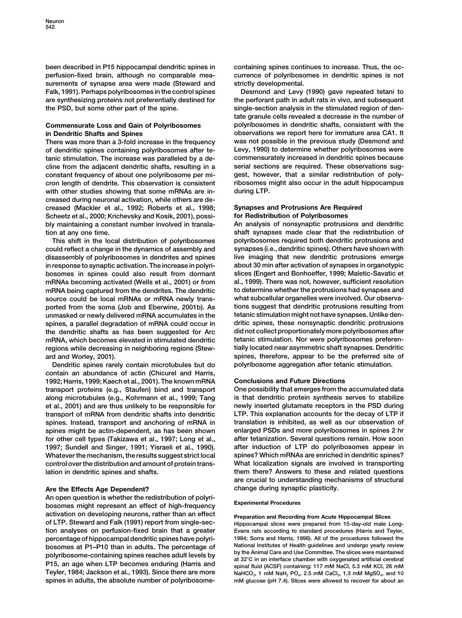been described in P15 hippocampal dendritic spines in containing spines continues to increase. Thus, the oc**perfusion-fixed brain, although no comparable mea- currence of polyribosomes in dendritic spines is not surements of synapse area were made (Steward and strictly developmental. Falk, 1991). Perhaps polyribosomes in the control spines Desmond and Levy (1990) gave repeated tetani to are synthesizing proteins not preferentially destined for the perforant path in adult rats in vivo, and subsequent the PSD, but some other part of the spine. single-section analysis in the stimulated region of den-**

**of dendritic spines containing polyribosomes after te- Levy, 1990) to determine whether polyribosomes were tanic stimulation. The increase was paralleled by a de- commensurately increased in dendritic spines because cline from the adjacent dendritic shafts, resulting in a serial sections are required. These observations sugconstant frequency of about one polyribosome per mi- gest, however, that a similar redistribution of polycron length of dendrite. This observation is consistent ribosomes might also occur in the adult hippocampus with other studies showing that some mRNAs are in- during LTP. creased during neuronal activation, while others are decreased (Mackler et al., 1992; Roberts et al., 1998; Synapses and Protrusions Are Required Scheetz et al., 2000; Krichevsky and Kosik, 2001), possi- for Redistribution of Polyribosomes bly maintaining a constant number involved in transla- An analysis of nonsynaptic protrusions and dendritic tion at any one time. shaft synapses made clear that the redistribution of**

**could reflect a change in the dynamics of assembly and synapses (i.e., dendritic spines). Others have shown with disassembly of polyribosomes in dendrites and spines live imaging that new dendritic protrusions emerge in response to synaptic activation. The increase in polyri- about 30 min after activation of synapses in organotypic bosomes in spines could also result from dormant slices (Engert and Bonhoeffer, 1999; Maletic-Savatic et mRNAs becoming activated (Wells et al., 2001) or from al., 1999). There was not, however, sufficient resolution mRNA being captured from the dendrites. The dendritic to determine whether the protrusions had synapses and source could be local mRNAs or mRNA newly trans- what subcellular organelles were involved. Our observaported from the soma (Job and Eberwine, 2001b). As tions suggest that dendritic protrusions resulting from unmasked or newly delivered mRNA accumulates in the tetanic stimulation might not have synapses. Unlike denspines, a parallel degradation of mRNA could occur in dritic spines, these nonsynaptic dendritic protrusions the dendritic shafts as has been suggested for Arc did not collect proportionately more polyribosomes after mRNA, which becomes elevated in stimulated dendritic tetanic stimulation. Nor were polyribosomes preferenregions while decreasing in neighboring regions (Stew- tially located near asymmetric shaft synapses. Dendritic ard and Worley, 2001). spines, therefore, appear to be the preferred site of**

**contain an abundance of actin (Chicurel and Harris, 1992; Harris, 1999; Kaech et al., 2001). The known mRNA Conclusions and Future Directions transport proteins (e.g., Staufen) bind and transport One possibility that emerges from the accumulated data along microtubules (e.g., Kohrmann et al., 1999; Tang is that dendritic protein synthesis serves to stabilize et al., 2001) and are thus unlikely to be responsible for newly inserted glutamate receptors in the PSD during transport of mRNA from dendritic shafts into dendritic LTP. This explanation accounts for the decay of LTP if spines. Instead, transport and anchoring of mRNA in translation is inhibited, as well as our observation of spines might be actin-dependent, as has been shown enlarged PSDs and more polyribosomes in spines 2 hr for other cell types (Takizawa et al., 1997; Long et al., after tetanization. Several questions remain. How soon 1997; Sundell and Singer, 1991; Yisraeli et al., 1990). after induction of LTP do polyribosomes appear in Whatever the mechanism, the results suggest strict local spines? Which mRNAs are enriched in dendritic spines? control over the distribution and amount of protein trans- What localization signals are involved in transporting**

## **Are the Effects Age Dependent? change during synaptic plasticity.**

**An open question is whether the redistribution of polyri- Experimental Procedures bosomes might represent an effect of high-frequency activation on developing neurons, rather than an effect Preparation and Recording from Acute Hippocampal Slices of LTP. Steward and Falk (1991) report from single-sec- Hippocampal slices were prepared from 15-day-old male Longtion analyses on perfusion-fixed brain that a greater Evans rats according to standard procedures (Harris and Teyler, percentage of hippocampal dendritic spines have polyri- 1984; Sorra and Harris, 1998). All of the procedures followed the** bosomes at P1–P10 than in adults. The percentage of<br>polyribosome-containing spines reaches adult levels by<br>P15, an age when LTP becomes enduring (Harris and<br>P15, an age when LTP becomes enduring (Harris and<br>Teyler, 1984; J **spines in adults, the absolute number of polyribosome- mM glucose (pH 7.4). Slices were allowed to recover for about an**

**tate granule cells revealed a decrease in the number of Commensurate Loss and Gain of Polyribosomes polyribosomes in dendritic shafts, consistent with the in Dendritic Shafts and Spines observations we report here for immature area CA1. It There was more than a 3-fold increase in the frequency was not possible in the previous study (Desmond and**

**This shift in the local distribution of polyribosomes polyribosomes required both dendritic protrusions and Dendritic spines rarely contain microtubules but do polyribosome aggregation after tetanic stimulation.**

**lation in dendritic spines and shafts. them there? Answers to these and related questions are crucial to understanding mechanisms of structural**

 $\text{NaHCO}_3$ , 1 mM  $\text{NaH}_2$  PO<sub>4</sub>, 2.5 mM CaCl<sub>2</sub>, 1.3 mM MgSO<sub>4</sub>, and 10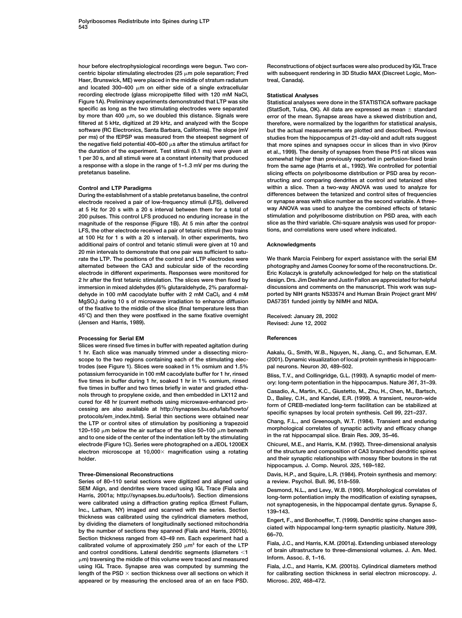centric bipolar stimulating electrodes ( $25 \mu m$  pole separation; Fred **Haer, Brunswick, ME) were placed in the middle of stratum radiatum treal, Canada).** and located 300–400  $\mu$ m on either side of a single extracellular **recording electrode (glass micropipette filled with 120 mM NaCl, Statistical Analyses specific as long as the two stimulating electrodes were separated (StatSoft, Tulsa, OK). All data are expressed as mean standard** by more than  $400 \mu m$ , so we doubled this distance. Signals were by more than 400 μm, so we doubled this distance. Signals were error of the mean. Synapse areas have a skewed distribution and,<br>filtered at 5 kHz, digitized at 29 kHz, and analyzed with the Scope therefore, were normalize **filtered at 5 kHz, digitized at 29 kHz, and analyzed with the Scope therefore, were normalized by the logarithm for statistical analysis, software (RC Electronics, Santa Barbara, California). The slope (mV but the actual measurements are plotted and described. Previous** the negative field potential  $400-600 \mu s$  after the stimulus artifact for **the duration of the experiment. Test stimuli (0.1 ms) were given at et al., 1999). The density of synapses from these P15 rat slices was 1 per 30 s, and all stimuli were at a constant intensity that produced somewhat higher than previously reported in perfusion-fixed brain a response with a slope in the range of 1–1.3 mV per ms during the from the same age (Harris et al., 1992). We controlled for potential**

**electrode received a pair of low-frequency stimuli (LFS), delivered or synapse areas with slice number as the second variable. A threeat 5 Hz for 20 s with a 20 s interval between them for a total of way ANOVA was used to analyze the combined effects of tetanic** 200 pulses. This control LFS produced no enduring increase in the **magnitude of the response (Figure 1B). At 5 min after the control slice as the third variable. Chi-square analysis was used for propor-LFS, the other electrode received a pair of tetanic stimuli (two trains tions, and correlations were used where indicated. at 100 Hz for 1 s with a 20 s interval). In other experiments, two additional pairs of control and tetanic stimuli were given at 10 and Acknowledgments 20 min intervals to demonstrate that one pair was sufficient to saturate the LTP. The positions of the control and LTP electrodes were We thank Marcia Feinberg for expert assistance with the serial EM alternated between the CA3 and subicular side of the recording photography and James Cooney for some of the reconstructions. Dr. electrode in different experiments. Responses were monitored for Eric Kolaczyk is gratefully acknowledged for help on the statistical 2 hr after the first tetanic stimulation. The slices were then fixed by design. Drs. Jim Deshler and Justin Fallon are appreciated for helpful immersion in mixed aldehydes (6% glutaraldehyde, 2% paraformal- discussions and comments on the manuscript. This work was sup**dehyde in 100 mM cacodylate buffer with 2 mM CaCl<sub>2</sub> and 4 mM ported by NIH grants NS33574 and Human Brain Project grant MH/<br>MgSO<sub>4</sub>) during 10 s of microwave irradiation to enhance diffusion DA57351 funded jointly by NIMH **MgSO<sub>4</sub>**) during 10 s of microwave irradiation to enhance diffusion **of the fixative to the middle of the slice (final temperature less than 45C) and then they were postfixed in the same fixative overnight Received: January 28, 2002 (Jensen and Harris, 1989). Revised: June 12, 2002**

## **Processing for Serial EM References**

**Slices were rinsed five times in buffer with repeated agitation during 1 hr. Each slice was manually trimmed under a dissecting micro- Aakalu, G., Smith, W.B., Nguyen, N., Jiang, C., and Schuman, E.M. scope to the two regions containing each of the stimulating elec- (2001). Dynamic visualization of local protein synthesis in hippocamtrodes (see Figure 1). Slices were soaked in 1% osmium and 1.5% pal neurons. Neuron** *30***, 489–502. potassium ferrocyanide in 100 mM cacodylate buffer for 1 hr, rinsed Bliss, T.V., and Collingridge, G.L. (1993). A synaptic model of memfive times in buffer during 1 hr, soaked 1 hr in 1% osmium, rinsed ory: long-term potentiation in the hippocampus. Nature** *361***, 31–39.** The times in burier and two times briently in water and graded etna-<br>
nols through to propylene oxide, and then embedded in LX112 and<br>
cured for 48 hr (current methods using microwave-enhanced pro-<br>
cessing are also availa the LTP or control sites of stimulation by positioning a trapezoid Chang, F.L., and Greenough, W.T. (1984). Transient and enduring<br>120–150 um below the air surface of the slice 50–100 um beneath morphological correlates of 120–150 μm below the air surface of the slice 50–100 μm beneath **morphological correlates of synaptic activity and efficacy change in the rat hippocampal slice. Brain Res.** *309***, 35–46. and to one side of the center of the indentation left by the stimulating electrode (Figure 1C). Series were photographed on a JEOL 1200EX Chicurel, M.E., and Harris, K.M. (1992). Three-dimensional analysis electron microscope at 10,000 magnification using a rotating of the structure and composition of CA3 branched dendritic spines**

**Series of 80–110 serial sections were digitized and aligned using a review. Psychol. Bull.** *96***, 518–559. SEM Align, and dendrites were traced using IGL Trace (Fiala and Desmond, N.L., and Levy, W.B. (1990). Morphological correlates of Harris, 2001a; http://synapses.bu.edu/tools/). Section dimensions long-term potentiation imply the modification of existing synapses,** were calibrated using a diffraction grating replica (Ernest Fullam,<br>Inc., Latham, NY) imaged and scanned with the series. Section 139–143.<br>thickness was calibrated using the cylindrical diameters method, trickness was calibrated using the cylindrical diameters filehold,<br>by dividing the diameters of longitudinally sectioned mitochondria<br>Spection thickness ranged from 43-49 nm. Each experiment had a<br>Section thickness ranged calibrated volume of approximately 250 μm<sup>3</sup> for each of the LTP Fiala, J.C., and Harris, K.M. (2001a). Extending unbiased stereology **of brain interactive conditions.** Lateral dendritic segments (diameters  $\langle 1 \rangle$  of brain ultrastructure to three-dimensional volumes. J. Am. Med.<br>
um) traversing the middle of this volume were traced and measured lnform. -**m) traversing the middle of this volume were traced and measured Inform. Assoc.** *8***, 1–16. using IGL Trace. Synapse area was computed by summing the Fiala, J.C., and Harris, K.M. (2001b). Cylindrical diameters method** length of the PSD  $\times$  section thickness over all sections on which it for calibrating section thickness in serial electron microscopy. J. **appeared or by measuring the enclosed area of an en face PSD. Microsc.** *202***, 468–472.**

**hour before electrophysiological recordings were begun. Two con- Reconstructions of object surfaces were also produced by IGL Trace** with subsequent rendering in 3D Studio MAX (Discreet Logic, Mon-

**Figure 1A). Preliminary experiments demonstrated that LTP was site Statistical analyses were done in the STATISTICA software package** studies from the hippocampus of 21-day-old and adult rats suggest that more spines and synapses occur in slices than in vivo (Kirov **pretetanus baseline. slicing effects on polyribosome distribution or PSD area by reconstructing and comparing dendrites at control and tetanized sites Control and LTP Paradigms within a slice. Then a two-way ANOVA was used to analyze for During the establishment of a stable pretetanus baseline, the control differences between the tetanized and control sites of frequencies**

**holder. and their synaptic relationships with mossy fiber boutons in the rat hippocampus. J. Comp. Neurol.** *325***, 169–182.**

**Three-Dimensional Reconstructions Davis, H.P., and Squire, L.R. (1984). Protein synthesis and memory:**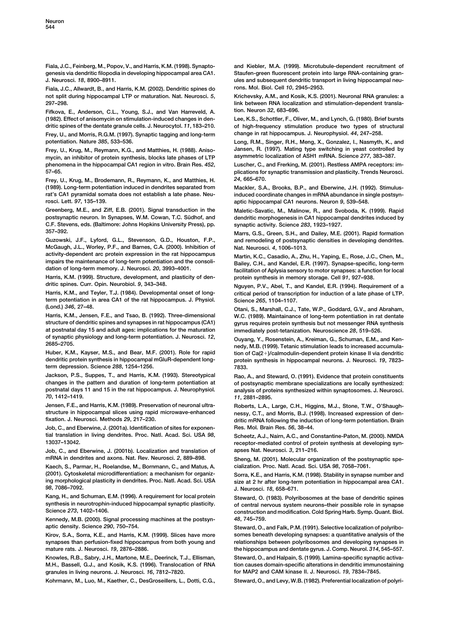**Fiala, J.C., Feinberg, M., Popov, V., and Harris, K.M. (1998). Synapto- and Kiebler, M.A. (1999). Microtubule-dependent recruitment of genesis via dendritic filopodia in developing hippocampal area CA1. Staufen-green fluorescent protein into large RNA-containing gran-J. Neurosci.** *18***, 8900–8911. ules and subsequent dendritic transport in living hippocampal neu-**

**Fiala, J.C., Allwardt, B., and Harris, K.M. (2002). Dendritic spines do rons. Mol. Biol. Cell** *10***, 2945–2953. not split during hippocampal LTP or maturation. Nat. Neurosci.** *5***, Krichevsky, A.M., and Kosik, K.S. (2001). Neuronal RNA granules: a 297–298. link between RNA localization and stimulation-dependent transla-**

**Fifkova, E., Anderson, C.L., Young, S.J., and Van Harreveld, A. tion. Neuron** *32***, 683–696. (1982). Effect of anisomycin on stimulation-induced changes in den- Lee, K.S., Schottler, F., Oliver, M., and Lynch, G. (1980). Brief bursts**

**Frey, U., and Morris, R.G.M. (1997). Synaptic tagging and long-term change in rat hippocampus. J. Neurophysiol.** *44***, 247–258. potentiation. Nature** *385***, 533–536. Long, R.M., Singer, R.H., Meng, X., Gonzalez, I., Nasmyth, K., and**

**mycin, an inhibitor of protein synthesis, blocks late phases of LTP asymmetric localization of ASH1 mRNA. Science** *277***, 383–387. phenomena in the hippocampal CA1 region in vitro. Brain Res.** *452***, Luscher, C., and Frerking, M. (2001). Restless AMPA receptors: im-**

**Frey, U., Krug, M., Brodemann, R., Reymann, K., and Matthies, H.** *24***, 665–670. (1989). Long-term potentiation induced in dendrites separated from Mackler, S.A., Brooks, B.P., and Eberwine, J.H. (1992). Stimulusrosci. Lett.** *97***, 135–139. aptic hippocampal CA1 neurons. Neuron** *9***, 539–548.**

**Greenberg, M.E., and Ziff, E.B. (2001). Signal transduction in the Maletic-Savatic, M., Malinow, R., and Svoboda, K. (1999). Rapid C.F. Stevens, eds. (Baltimore: Johns Hopkins University Press), pp.** 

**McGaugh, J.L., Worley, P.F., and Barnes, C.A. (2000). Inhibition of Nat. Neurosci.** *4***, 1006–1013.** activity-dependent arc protein expression in the rat hippocampus<br>impairs the maintenance of long-term potentiation and the consoli-<br>dation of long-term memory. J. Neurosci. 20, 3993–4001.<br>facilitation of Aplysia sensory to

**Harris, K.M. (1999). Structure, development, and plasticity of den- protein synthesis in memory storage. Cell** *91***, 927–938.**

**term potentiation in area CA1 of the rat hippocampus. J. Physiol. Science** *265***, 1104–1107.**

**structure of dendritic spines and synapses in rat hippocampus (CA1) gyrus requires protein synthesis but not messenger RNA synthesis at postnatal day 15 and adult ages: implications for the maturation immediately post-tetanization. Neuroscience** *28***, 519–526.** of synaptic physiology and long-term potentiation. J. Neurosci. 12,<br>2685–2705. nedy, M.B. (1999). Tetanic stimulation leads to increased accumula-

Huber, K.M., Kayser, M.S., and Bear, M.F. (2001). Role for rapid dendritic protein synthesis in hippocampal mGluR-dependent long**term depression. Science** *288***, 1254–1256. 7833.**

**Jackson, P.S., Suppes, T., and Harris, K.M. (1993). Stereotypical Rao, A., and Steward, O. (1991). Evidence that protein constituents changes in the pattern and duration of long-term potentiation at of postsynaptic membrane specializations are locally synthesized:** *70***, 1412–1419.** *11***, 2881–2895.**

**Jensen, F.E., and Harris, K.M. (1989). Preservation of neuronal ultra- Roberts, L.A., Large, C.H., Higgins, M.J., Stone, T.W., O'Shaughstructure in hippocampal slices using rapid microwave-enhanced nessy, C.T., and Morris, B.J. (1998). Increased expression of den-**

**Job, C., and Eberwine, J. (2001a). Identification of sites for exponen- Res. Mol. Brain Res.** *56***, 38–44. tial translation in living dendrites. Proc. Natl. Acad. Sci. USA** *98***, Scheetz, A.J., Nairn, A.C., and Constantine-Paton, M. (2000). NMDA**

**Job, C., and Eberwine, J. (2001b). Localization and translation of apses Nat. Neurosci.** *3***, 211–216. mRNA in dendrites and axons. Nat. Rev. Neurosci.** *2***, 889–898. Sheng, M. (2001). Molecular organization of the postsynaptic spe-**

**(2001). Cytoskeletal microdifferentiation: a mechanism for organiz- Sorra, K.E., and Harris, K.M. (1998). Stability in synapse number and ing morphological plasticity in dendrites. Proc. Natl. Acad. Sci. USA size at 2 hr after long-term potentiation in hippocampal area CA1.**

**Kang, H., and Schuman, E.M. (1996). A requirement for local protein Steward, O. (1983). Polyribosomes at the base of dendritic spines**

**Kennedy, M.B. (2000). Signal processing machines at the postsyn-** *48***, 745–759. aptic density. Science** *290***, 750–754. Steward, O., and Falk, P.M. (1991). Selective localization of polyribo-**

**synapses than perfusion-fixed hippocampus from both young and relationships between polyribosomes and developing synapses in mature rats. J. Neurosci.** *19***, 2876–2886. the hippocampus and dentate gyrus. J. Comp. Neurol.** *314***, 545–557.**

**Knowles, R.B., Sabry, J.H., Martone, M.E., Deerinck, T.J., Ellisman, Steward, O., and Halpain, S. (1999). Lamina-specific synaptic activa-M.H., Bassell, G.J., and Kosik, K.S. (1996). Translocation of RNA tion causes domain-specific alterations in dendritic immunostaining granules in living neurons. J. Neurosci.** *16***, 7812–7820. for MAP2 and CAM kinase II. J. Neurosci.** *19***, 7834–7845.**

Kohrmann, M., Luo, M., Kaether, C., DesGroseillers, L., Dotti, C.G., Steward, O., and Levy, W.B. (1982). Preferential localization of polyri-

**dritic spines of the dentate granule cells. J. Neurocytol.** *11***, 183–210. of high-frequency stimulation produce two types of structural**

**Frey, U., Krug, M., Reymann, K.G., and Matthies, H. (1988). Aniso- Jansen, R. (1997). Mating type switching in yeast controlled by**

**57–65. plications for synaptic transmission and plasticity. Trends Neurosci.**

**rat's CA1 pyramidal somata does not establish a late phase. Neu- induced coordinate changes in mRNA abundance in single postsyn-**

dendritic morphogenesis in CA1 hippocampal dendrites induced by<br>synaptic activity. Science 283, 1923-1927.

**357–392. Marrs, G.S., Green, S.H., and Dailey, M.E. (2001). Rapid formation Guzowski, J.F., Lyford, G.L., Stevenson, G.D., Houston, F.P., and remodeling of postsynaptic densities in developing dendrites.**

**dritic spines. Curr. Opin. Neurobiol.** *9***, 343–348. Nguyen, P.V., Abel, T., and Kandel, E.R. (1994). Requirement of a** critical period of transcription for induction of a late phase of LTP.

**(Lond.)** *<sup>346</sup>***, 27–48. Otani, S., Marshall, C.J., Tate, W.P., Goddard, G.V., and Abraham,** W.C. (1989). Maintainance of long-term potentiation in rat dentate

> **)/calmodulin-dependent protein kinase II via dendritic** protein synthesis in hippocampal neurons. J. Neurosci. 19, 7823-

> **postnatal days 11 and 15 in the rat hippocampus. J. Neurophysiol. analysis of proteins synthesized within synaptosomes. J. Neurosci.**

**fixation. J. Neurosci. Methods** *29***, 217–230. dritic mRNA following the induction of long-term potentiation. Brain**

**13037–13042. receptor-mediated control of protein synthesis at developing syn-**

**Kaech, S., Parmar, H., Roelandse, M., Bornmann, C., and Matus, A. cialization. Proc. Natl. Acad. Sci. USA** *98***, 7058–7061.**

*98***, 7086–7092. J. Neurosci.** *18***, 658–671.**

**synthesis in neurotrophin-induced hippocampal synaptic plasticity. of central nervous system neurons–their possible role in synapse Science** *273***, 1402–1406. construction and modification. Cold Spring Harb. Symp. Quant. Biol.**

**Kirov, S.A., Sorra, K.E., and Harris, K.M. (1999). Slices have more somes beneath developing synapses: a quantitative analysis of the**